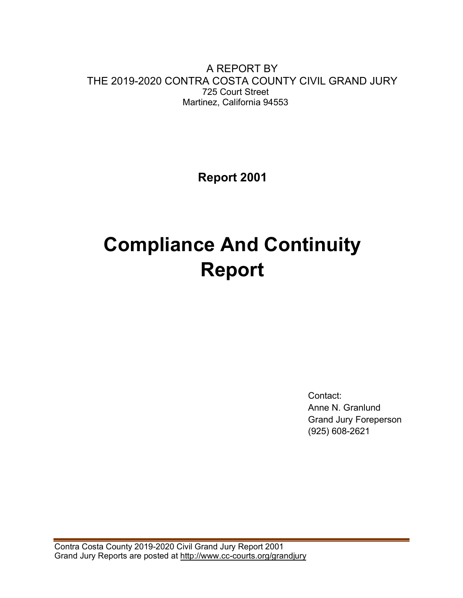A REPORT BY THE 2019-2020 CONTRA COSTA COUNTY CIVIL GRAND JURY 725 Court Street Martinez, California 94553

**Report 2001**

# **Compliance And Continuity Report**

Contact: Anne N. Granlund Grand Jury Foreperson (925) 608-2621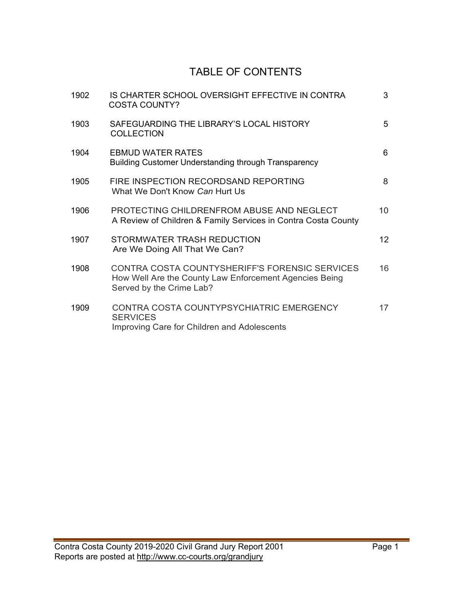# TABLE OF CONTENTS

| 1902 | IS CHARTER SCHOOL OVERSIGHT EFFECTIVE IN CONTRA<br><b>COSTA COUNTY?</b>                                                              | 3  |
|------|--------------------------------------------------------------------------------------------------------------------------------------|----|
| 1903 | SAFEGUARDING THE LIBRARY'S LOCAL HISTORY<br><b>COLLECTION</b>                                                                        | 5  |
| 1904 | <b>EBMUD WATER RATES</b><br><b>Building Customer Understanding through Transparency</b>                                              | 6  |
| 1905 | FIRE INSPECTION RECORDSAND REPORTING<br>What We Don't Know Can Hurt Us                                                               | 8  |
| 1906 | PROTECTING CHILDRENFROM ABUSE AND NEGLECT<br>A Review of Children & Family Services in Contra Costa County                           | 10 |
| 1907 | STORMWATER TRASH REDUCTION<br>Are We Doing All That We Can?                                                                          | 12 |
| 1908 | CONTRA COSTA COUNTYSHERIFF'S FORENSIC SERVICES<br>How Well Are the County Law Enforcement Agencies Being<br>Served by the Crime Lab? | 16 |
| 1909 | CONTRA COSTA COUNTYPSYCHIATRIC EMERGENCY<br><b>SERVICES</b><br>Improving Care for Children and Adolescents                           | 17 |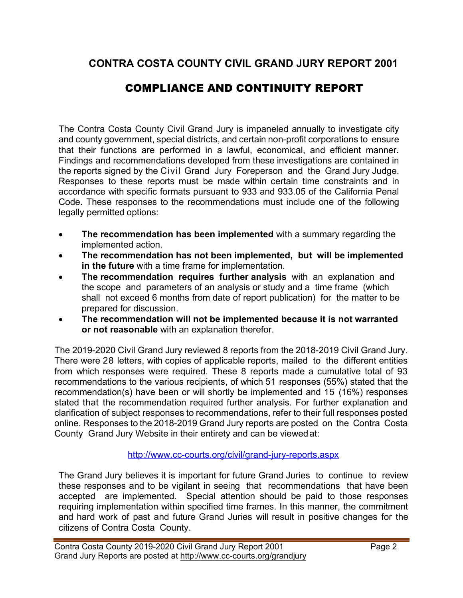# **CONTRA COSTA COUNTY CIVIL GRAND JURY REPORT 2001**

## COMPLIANCE AND CONTINUITY REPORT

The Contra Costa County Civil Grand Jury is impaneled annually to investigate city and county government, special districts, and certain non-profit corporations to ensure that their functions are performed in a lawful, economical, and efficient manner. Findings and recommendations developed from these investigations are contained in the reports signed by the Civil Grand Jury Foreperson and the Grand Jury Judge. Responses to these reports must be made within certain time constraints and in accordance with specific formats pursuant to 933 and 933.05 of the California Penal Code. These responses to the recommendations must include one of the following legally permitted options:

- **The recommendation has been implemented** with a summary regarding the implemented action.
- **The recommendation has not been implemented, but will be implemented in the future** with a time frame for implementation.
- **The recommendation requires further analysis** with an explanation and the scope and parameters of an analysis or study and a time frame (which shall not exceed 6 months from date of report publication) for the matter to be prepared for discussion.
- **The recommendation will not be implemented because it is not warranted or not reasonable** with an explanation therefor.

The 2019-2020 Civil Grand Jury reviewed 8 reports from the 2018-2019 Civil Grand Jury. There were 28 letters, with copies of applicable reports, mailed to the different entities from which responses were required. These 8 reports made a cumulative total of 93 recommendations to the various recipients, of which 51 responses (55%) stated that the recommendation(s) have been or will shortly be implemented and 15 (16%) responses stated that the recommendation required further analysis. For further explanation and clarification of subject responses to recommendations, refer to their full responses posted online. Responses to the 2018-2019 Grand Jury reports are posted on the Contra Costa County Grand Jury Website in their entirety and can be viewedat:

<http://www.cc-courts.org/civil/grand-jury-reports.aspx>

The Grand Jury believes it is important for future Grand Juries to continue to review these responses and to be vigilant in seeing that recommendations that have been accepted are implemented. Special attention should be paid to those responses requiring implementation within specified time frames. In this manner, the commitment and hard work of past and future Grand Juries will result in positive changes for the citizens of Contra Costa County.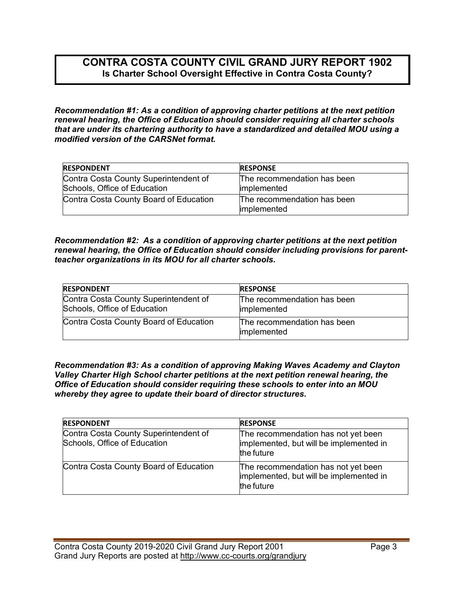## **CONTRA COSTA COUNTY CIVIL GRAND JURY REPORT 1902 Is Charter School Oversight Effective in Contra Costa County?**

*Recommendation #1: As a condition of approving charter petitions at the next petition renewal hearing, the Office of Education should consider requiring all charter schools that are under its chartering authority to have a standardized and detailed MOU using a modified version of the CARSNet format.*

| <b>RESPONDENT</b>                                                     | <b>RESPONSE</b>                            |
|-----------------------------------------------------------------------|--------------------------------------------|
| Contra Costa County Superintendent of<br>Schools, Office of Education | The recommendation has been<br>implemented |
| Contra Costa County Board of Education                                | The recommendation has been<br>implemented |

*Recommendation #2: As a condition of approving charter petitions at the next petition renewal hearing, the Office of Education should consider including provisions for parentteacher organizations in its MOU for all charter schools.*

| <b>RESPONDENT</b>                                                     | <b>RESPONSE</b>                            |
|-----------------------------------------------------------------------|--------------------------------------------|
| Contra Costa County Superintendent of<br>Schools, Office of Education | The recommendation has been<br>implemented |
| Contra Costa County Board of Education                                | The recommendation has been<br>implemented |

*Recommendation #3: As a condition of approving Making Waves Academy and Clayton Valley Charter High School charter petitions at the next petition renewal hearing, the Office of Education should consider requiring these schools to enter into an MOU whereby they agree to update their board of director structures.*

| <b>RESPONDENT</b>                                                     | <b>RESPONSE</b>                                                                              |
|-----------------------------------------------------------------------|----------------------------------------------------------------------------------------------|
| Contra Costa County Superintendent of<br>Schools, Office of Education | The recommendation has not yet been<br>implemented, but will be implemented in<br>the future |
| Contra Costa County Board of Education                                | The recommendation has not yet been<br>implemented, but will be implemented in<br>the future |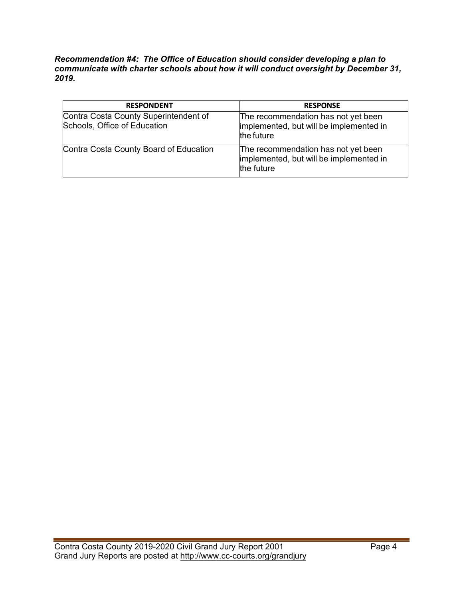*Recommendation #4: The Office of Education should consider developing a plan to communicate with charter schools about how it will conduct oversight by December 31, 2019.*

| <b>RESPONDENT</b>                                                     | <b>RESPONSE</b>                                                                              |
|-----------------------------------------------------------------------|----------------------------------------------------------------------------------------------|
| Contra Costa County Superintendent of<br>Schools, Office of Education | The recommendation has not yet been<br>implemented, but will be implemented in<br>the future |
| Contra Costa County Board of Education                                | The recommendation has not yet been<br>implemented, but will be implemented in<br>the future |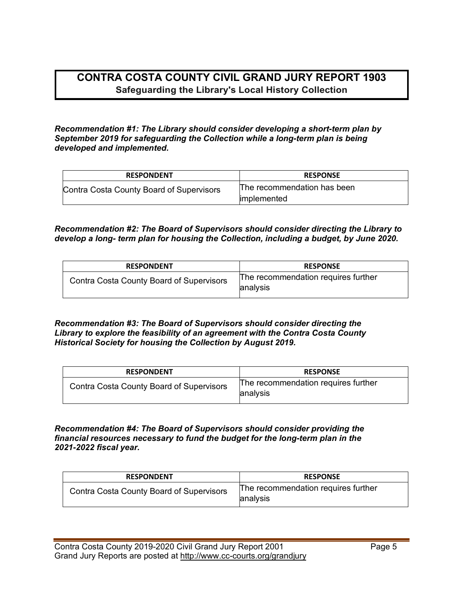## **CONTRA COSTA COUNTY CIVIL GRAND JURY REPORT 1903 Safeguarding the Library's Local History Collection**

#### *Recommendation #1: The Library should consider developing a short-term plan by September 2019 for safeguarding the Collection while a long-term plan is being developed and implemented.*

| <b>RESPONDENT</b>                        | <b>RESPONSE</b>             |
|------------------------------------------|-----------------------------|
| Contra Costa County Board of Supervisors | The recommendation has been |
|                                          | limplemented                |

#### *Recommendation #2: The Board of Supervisors should consider directing the Library to develop a long- term plan for housing the Collection, including a budget, by June 2020.*

| <b>RESPONDENT</b>                        | <b>RESPONSE</b>                                 |
|------------------------------------------|-------------------------------------------------|
| Contra Costa County Board of Supervisors | The recommendation requires further<br>analysis |

#### *Recommendation #3: The Board of Supervisors should consider directing the Library to explore the feasibility of an agreement with the Contra Costa County Historical Society for housing the Collection by August 2019.*

| <b>RESPONDENT</b>                        | <b>RESPONSE</b>                                 |
|------------------------------------------|-------------------------------------------------|
| Contra Costa County Board of Supervisors | The recommendation requires further<br>analysis |

*Recommendation #4: The Board of Supervisors should consider providing the financial resources necessary to fund the budget for the long-term plan in the 2021-2022 fiscal year.*

| <b>RESPONDENT</b>                               | <b>RESPONSE</b>                                  |
|-------------------------------------------------|--------------------------------------------------|
| <b>Contra Costa County Board of Supervisors</b> | The recommendation requires further<br>lanalysis |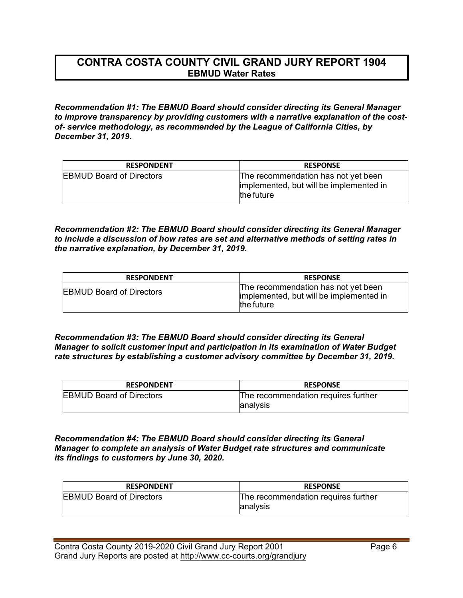## **CONTRA COSTA COUNTY CIVIL GRAND JURY REPORT 1904 EBMUD Water Rates**

*Recommendation #1: The EBMUD Board should consider directing its General Manager to improve transparency by providing customers with a narrative explanation of the costof- service methodology, as recommended by the League of California Cities, by December 31, 2019.*

| <b>RESPONDENT</b>               | <b>RESPONSE</b>                                                                              |
|---------------------------------|----------------------------------------------------------------------------------------------|
| <b>EBMUD Board of Directors</b> | The recommendation has not yet been<br>implemented, but will be implemented in<br>the future |

#### *Recommendation #2: The EBMUD Board should consider directing its General Manager to include a discussion of how rates are set and alternative methods of setting rates in the narrative explanation, by December 31, 2019.*

| <b>RESPONDENT</b>               | <b>RESPONSE</b>                                                                              |
|---------------------------------|----------------------------------------------------------------------------------------------|
| <b>EBMUD Board of Directors</b> | The recommendation has not yet been<br>implemented, but will be implemented in<br>the future |

*Recommendation #3: The EBMUD Board should consider directing its General Manager to solicit customer input and participation in its examination of Water Budget rate structures by establishing a customer advisory committee by December 31, 2019.*

| <b>RESPONDENT</b>               | <b>RESPONSE</b>                     |
|---------------------------------|-------------------------------------|
| <b>EBMUD Board of Directors</b> | The recommendation requires further |
|                                 | analysis                            |

*Recommendation #4: The EBMUD Board should consider directing its General Manager to complete an analysis of Water Budget rate structures and communicate its findings to customers by June 30, 2020.*

| <b>RESPONDENT</b>               | <b>RESPONSE</b>                                 |
|---------------------------------|-------------------------------------------------|
| <b>EBMUD Board of Directors</b> | The recommendation requires further<br>analysis |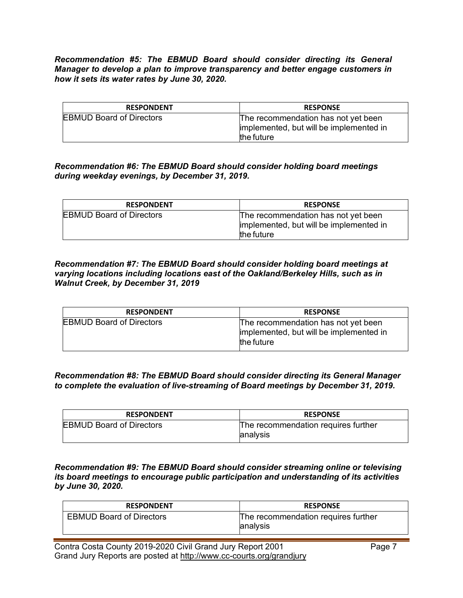*Recommendation #5: The EBMUD Board should consider directing its General Manager to develop a plan to improve transparency and better engage customers in how it sets its water rates by June 30, 2020.*

| <b>RESPONDENT</b>               | <b>RESPONSE</b>                         |
|---------------------------------|-----------------------------------------|
| <b>EBMUD Board of Directors</b> | The recommendation has not yet been     |
|                                 | implemented, but will be implemented in |
|                                 | the future                              |

#### *Recommendation #6: The EBMUD Board should consider holding board meetings during weekday evenings, by December 31, 2019.*

| <b>RESPONDENT</b>               | <b>RESPONSE</b>                         |
|---------------------------------|-----------------------------------------|
| <b>EBMUD Board of Directors</b> | The recommendation has not yet been     |
|                                 | implemented, but will be implemented in |
|                                 | the future                              |

#### *Recommendation #7: The EBMUD Board should consider holding board meetings at varying locations including locations east of the Oakland/Berkeley Hills, such as in Walnut Creek, by December 31, 2019*

| <b>RESPONDENT</b>               | <b>RESPONSE</b>                                                                               |
|---------------------------------|-----------------------------------------------------------------------------------------------|
| <b>EBMUD Board of Directors</b> | The recommendation has not yet been<br>limplemented, but will be implemented in<br>the future |

#### *Recommendation #8: The EBMUD Board should consider directing its General Manager to complete the evaluation of live-streaming of Board meetings by December 31, 2019.*

| <b>RESPONDENT</b>               | <b>RESPONSE</b>                     |
|---------------------------------|-------------------------------------|
| <b>EBMUD Board of Directors</b> | The recommendation requires further |
|                                 | lanalysis                           |

*Recommendation #9: The EBMUD Board should consider streaming online or televising its board meetings to encourage public participation and understanding of its activities by June 30, 2020.*

| <b>RESPONDENT</b>               | <b>RESPONSE</b>                                 |
|---------------------------------|-------------------------------------------------|
| <b>EBMUD Board of Directors</b> | The recommendation requires further<br>analysis |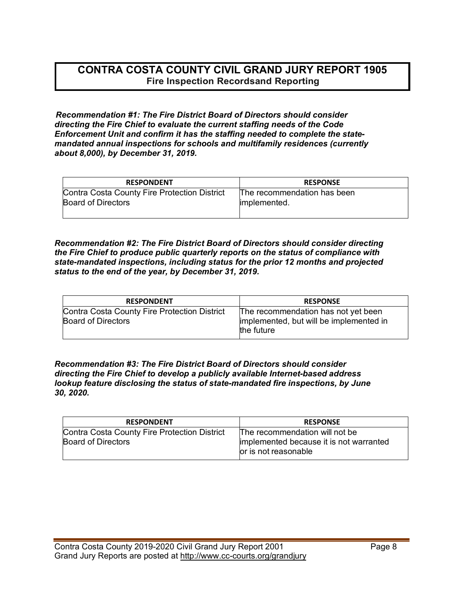## **CONTRA COSTA COUNTY CIVIL GRAND JURY REPORT 1905 Fire Inspection Recordsand Reporting**

*Recommendation #1: The Fire District Board of Directors should consider directing the Fire Chief to evaluate the current staffing needs of the Code Enforcement Unit and confirm it has the staffing needed to complete the statemandated annual inspections for schools and multifamily residences (currently about 8,000), by December 31, 2019.*

| <b>RESPONDENT</b>                                                  | <b>RESPONSE</b>                              |
|--------------------------------------------------------------------|----------------------------------------------|
| Contra Costa County Fire Protection District<br>Board of Directors | The recommendation has been<br>limplemented. |
|                                                                    |                                              |

#### *Recommendation #2: The Fire District Board of Directors should consider directing the Fire Chief to produce public quarterly reports on the status of compliance with state-mandated inspections, including status for the prior 12 months and projected status to the end of the year, by December 31, 2019.*

| <b>RESPONDENT</b>                                                  | <b>RESPONSE</b>                                                                               |
|--------------------------------------------------------------------|-----------------------------------------------------------------------------------------------|
| Contra Costa County Fire Protection District<br>Board of Directors | The recommendation has not yet been<br>limplemented, but will be implemented in<br>the future |

*Recommendation #3: The Fire District Board of Directors should consider directing the Fire Chief to develop a publicly available Internet-based address lookup feature disclosing the status of state-mandated fire inspections, by June 30, 2020.*

| <b>RESPONDENT</b>                                                  | <b>RESPONSE</b>                                                                                   |
|--------------------------------------------------------------------|---------------------------------------------------------------------------------------------------|
| Contra Costa County Fire Protection District<br>Board of Directors | The recommendation will not be<br>implemented because it is not warranted<br>or is not reasonable |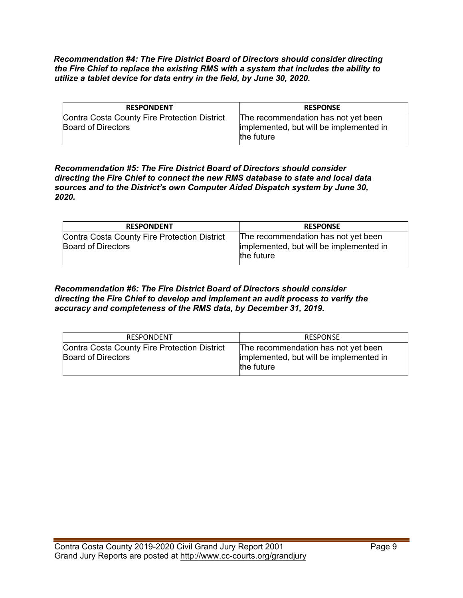*Recommendation #4: The Fire District Board of Directors should consider directing the Fire Chief to replace the existing RMS with a system that includes the ability to utilize a tablet device for data entry in the field, by June 30, 2020.*

| <b>RESPONDENT</b>                                                         | <b>RESPONSE</b>                                                                |
|---------------------------------------------------------------------------|--------------------------------------------------------------------------------|
| Contra Costa County Fire Protection District<br><b>Board of Directors</b> | The recommendation has not yet been<br>implemented, but will be implemented in |
|                                                                           | the future                                                                     |

*Recommendation #5: The Fire District Board of Directors should consider directing the Fire Chief to connect the new RMS database to state and local data sources and to the District's own Computer Aided Dispatch system by June 30, 2020.*

| <b>RESPONDENT</b>                                                         | <b>RESPONSE</b>                                                                              |
|---------------------------------------------------------------------------|----------------------------------------------------------------------------------------------|
| Contra Costa County Fire Protection District<br><b>Board of Directors</b> | The recommendation has not yet been<br>implemented, but will be implemented in<br>the future |

#### *Recommendation #6: The Fire District Board of Directors should consider directing the Fire Chief to develop and implement an audit process to verify the accuracy and completeness of the RMS data, by December 31, 2019.*

| <b>RESPONDENT</b>                                                  | <b>RESPONSE</b>                                                                              |
|--------------------------------------------------------------------|----------------------------------------------------------------------------------------------|
| Contra Costa County Fire Protection District<br>Board of Directors | The recommendation has not yet been<br>implemented, but will be implemented in<br>the future |
|                                                                    |                                                                                              |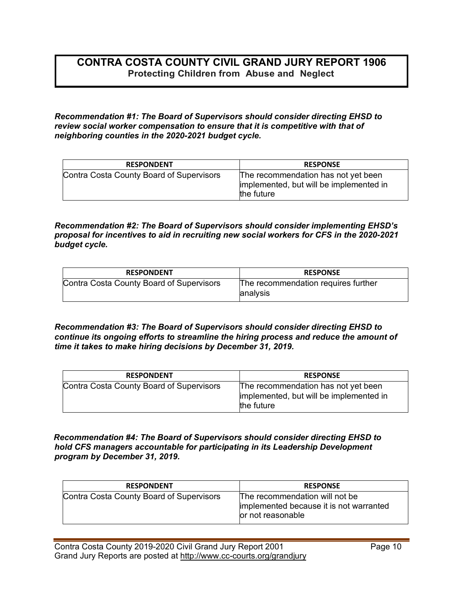## **CONTRA COSTA COUNTY CIVIL GRAND JURY REPORT 1906 Protecting Children from Abuse and Neglect**

*Recommendation #1: The Board of Supervisors should consider directing EHSD to review social worker compensation to ensure that it is competitive with that of neighboring counties in the 2020-2021 budget cycle.*

| <b>RESPONDENT</b>                        | <b>RESPONSE</b>                                                                               |
|------------------------------------------|-----------------------------------------------------------------------------------------------|
| Contra Costa County Board of Supervisors | The recommendation has not yet been<br>limplemented, but will be implemented in<br>the future |

*Recommendation #2: The Board of Supervisors should consider implementing EHSD's proposal for incentives to aid in recruiting new social workers for CFS in the 2020-2021 budget cycle.*

| <b>RESPONDENT</b>                        | <b>RESPONSE</b>                                 |
|------------------------------------------|-------------------------------------------------|
| Contra Costa County Board of Supervisors | The recommendation requires further<br>analysis |

*Recommendation #3: The Board of Supervisors should consider directing EHSD to continue its ongoing efforts to streamline the hiring process and reduce the amount of time it takes to make hiring decisions by December 31, 2019.*

| <b>RESPONDENT</b>                        | <b>RESPONSE</b>                                                                              |
|------------------------------------------|----------------------------------------------------------------------------------------------|
| Contra Costa County Board of Supervisors | The recommendation has not yet been<br>implemented, but will be implemented in<br>the future |

*Recommendation #4: The Board of Supervisors should consider directing EHSD to hold CFS managers accountable for participating in its Leadership Development program by December 31, 2019.*

| <b>RESPONDENT</b>                        | <b>RESPONSE</b>                                                                                |
|------------------------------------------|------------------------------------------------------------------------------------------------|
| Contra Costa County Board of Supervisors | The recommendation will not be<br>implemented because it is not warranted<br>or not reasonable |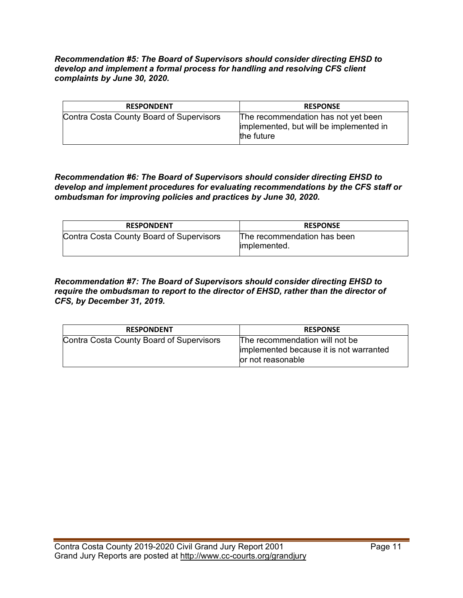*Recommendation #5: The Board of Supervisors should consider directing EHSD to develop and implement a formal process for handling and resolving CFS client complaints by June 30, 2020.*

| <b>RESPONDENT</b>                        | <b>RESPONSE</b>                                                                               |
|------------------------------------------|-----------------------------------------------------------------------------------------------|
| Contra Costa County Board of Supervisors | The recommendation has not yet been<br>limplemented, but will be implemented in<br>the future |

#### *Recommendation #6: The Board of Supervisors should consider directing EHSD to develop and implement procedures for evaluating recommendations by the CFS staff or ombudsman for improving policies and practices by June 30, 2020.*

| <b>RESPONDENT</b>                        | <b>RESPONSE</b>                              |
|------------------------------------------|----------------------------------------------|
| Contra Costa County Board of Supervisors | The recommendation has been<br>limplemented. |

#### *Recommendation #7: The Board of Supervisors should consider directing EHSD to require the ombudsman to report to the director of EHSD, rather than the director of CFS, by December 31, 2019.*

| <b>RESPONDENT</b>                        | <b>RESPONSE</b>                                                                                 |
|------------------------------------------|-------------------------------------------------------------------------------------------------|
| Contra Costa County Board of Supervisors | The recommendation will not be<br>limplemented because it is not warranted<br>or not reasonable |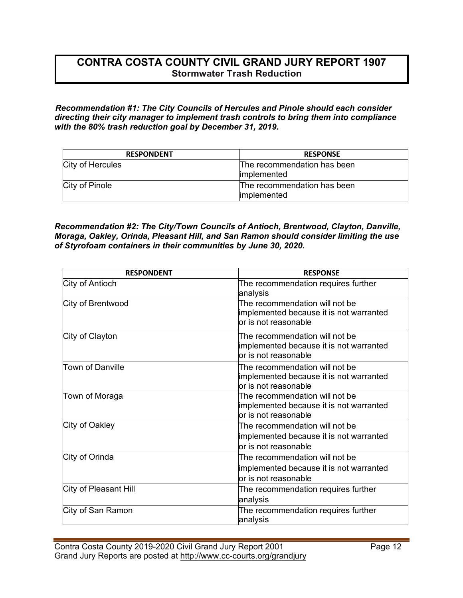## **CONTRA COSTA COUNTY CIVIL GRAND JURY REPORT 1907 Stormwater Trash Reduction**

*Recommendation #1: The City Councils of Hercules and Pinole should each consider directing their city manager to implement trash controls to bring them into compliance with the 80% trash reduction goal by December 31, 2019.*

| <b>RESPONDENT</b> | <b>RESPONSE</b>                             |
|-------------------|---------------------------------------------|
| City of Hercules  | The recommendation has been<br>limplemented |
| City of Pinole    | The recommendation has been<br>limplemented |

#### *Recommendation #2: The City/Town Councils of Antioch, Brentwood, Clayton, Danville, Moraga, Oakley, Orinda, Pleasant Hill, and San Ramon should consider limiting the use of Styrofoam containers in their communities by June 30, 2020.*

| <b>RESPONDENT</b>            | <b>RESPONSE</b>                                                                                   |
|------------------------------|---------------------------------------------------------------------------------------------------|
| City of Antioch              | The recommendation requires further<br>analysis                                                   |
| City of Brentwood            | The recommendation will not be<br>implemented because it is not warranted<br>or is not reasonable |
| City of Clayton              | The recommendation will not be<br>implemented because it is not warranted<br>or is not reasonable |
| Town of Danville             | The recommendation will not be<br>implemented because it is not warranted<br>or is not reasonable |
| Town of Moraga               | The recommendation will not be<br>implemented because it is not warranted<br>or is not reasonable |
| City of Oakley               | The recommendation will not be<br>implemented because it is not warranted<br>or is not reasonable |
| City of Orinda               | The recommendation will not be<br>implemented because it is not warranted<br>or is not reasonable |
| <b>City of Pleasant Hill</b> | The recommendation requires further<br>analysis                                                   |
| City of San Ramon            | The recommendation requires further<br>analysis                                                   |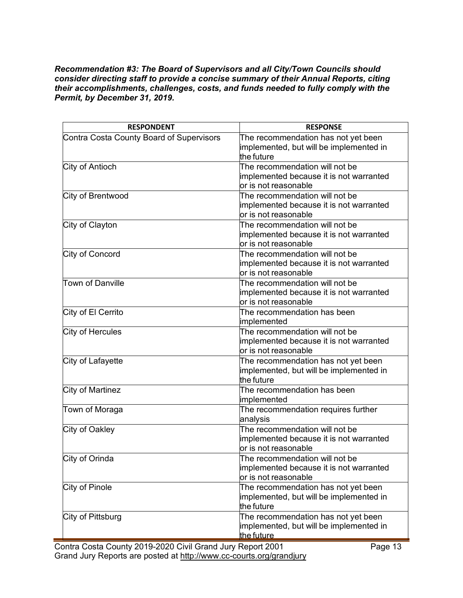#### *Recommendation #3: The Board of Supervisors and all City/Town Councils should consider directing staff to provide a concise summary of their Annual Reports, citing their accomplishments, challenges, costs, and funds needed to fully comply with the Permit, by December 31, 2019.*

| <b>RESPONDENT</b>                        | <b>RESPONSE</b>                                                                                   |
|------------------------------------------|---------------------------------------------------------------------------------------------------|
| Contra Costa County Board of Supervisors | The recommendation has not yet been<br>implemented, but will be implemented in<br>the future      |
| City of Antioch                          | The recommendation will not be<br>implemented because it is not warranted<br>or is not reasonable |
| City of Brentwood                        | The recommendation will not be<br>implemented because it is not warranted<br>or is not reasonable |
| City of Clayton                          | The recommendation will not be<br>implemented because it is not warranted<br>or is not reasonable |
| City of Concord                          | The recommendation will not be<br>implemented because it is not warranted<br>or is not reasonable |
| <b>Town of Danville</b>                  | The recommendation will not be<br>implemented because it is not warranted<br>or is not reasonable |
| City of El Cerrito                       | The recommendation has been<br>implemented                                                        |
| <b>City of Hercules</b>                  | The recommendation will not be<br>implemented because it is not warranted<br>or is not reasonable |
| City of Lafayette                        | The recommendation has not yet been<br>implemented, but will be implemented in<br>the future      |
| <b>City of Martinez</b>                  | The recommendation has been<br>implemented                                                        |
| Town of Moraga                           | The recommendation requires further<br>analysis                                                   |
| City of Oakley                           | The recommendation will not be<br>implemented because it is not warranted<br>or is not reasonable |
| City of Orinda                           | The recommendation will not be<br>implemented because it is not warranted<br>or is not reasonable |
| City of Pinole                           | The recommendation has not yet been<br>implemented, but will be implemented in<br>the future      |
| City of Pittsburg                        | The recommendation has not yet been<br>implemented, but will be implemented in<br>the future      |

Contra Costa County 2019-2020 Civil Grand Jury Report 2001 Grand Jury Reports are posted at<http://www.cc-courts.org/grandjury>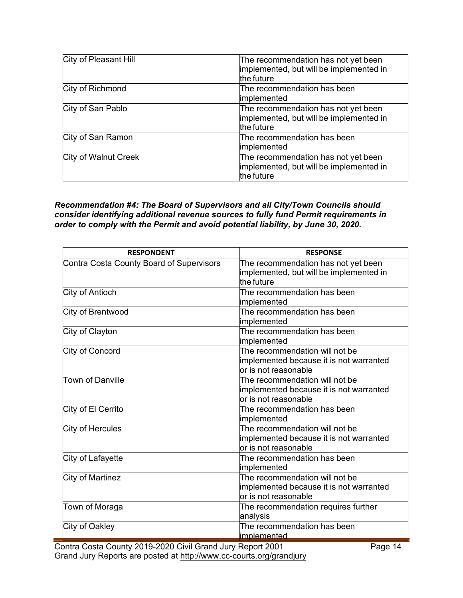| City of Pleasant Hill       | The recommendation has not yet been<br>implemented, but will be implemented in<br>the future |
|-----------------------------|----------------------------------------------------------------------------------------------|
| City of Richmond            | The recommendation has been<br>implemented                                                   |
| City of San Pablo           | The recommendation has not yet been<br>implemented, but will be implemented in<br>the future |
| City of San Ramon           | The recommendation has been<br>implemented                                                   |
| <b>City of Walnut Creek</b> | The recommendation has not yet been<br>implemented, but will be implemented in<br>the future |

*Recommendation #4: The Board of Supervisors and all City/Town Councils should consider identifying additional revenue sources to fully fund Permit requirements in order to comply with the Permit and avoid potential liability, by June 30, 2020.*

| <b>RESPONDENT</b>                        | <b>RESPONSE</b>                                                                                    |
|------------------------------------------|----------------------------------------------------------------------------------------------------|
| Contra Costa County Board of Supervisors | The recommendation has not yet been<br>implemented, but will be implemented in<br>the future       |
| City of Antioch                          | The recommendation has been<br>implemented                                                         |
| City of Brentwood                        | The recommendation has been<br>implemented                                                         |
| City of Clayton                          | The recommendation has been<br>implemented                                                         |
| City of Concord                          | The recommendation will not be<br>implemented because it is not warranted<br>or is not reasonable  |
| <b>Town of Danville</b>                  | The recommendation will not be<br>implemented because it is not warranted<br>lor is not reasonable |
| City of El Cerrito                       | The recommendation has been<br>implemented                                                         |
| City of Hercules                         | The recommendation will not be<br>implemented because it is not warranted<br>lor is not reasonable |
| City of Lafayette                        | The recommendation has been<br>implemented                                                         |
| <b>City of Martinez</b>                  | The recommendation will not be<br>implemented because it is not warranted<br>or is not reasonable  |
| Town of Moraga                           | The recommendation requires further<br>analysis                                                    |
| City of Oakley                           | The recommendation has been<br>limplemented                                                        |

Contra Costa County 2019-2020 Civil Grand Jury Report 2001 Grand Jury Reports are posted at<http://www.cc-courts.org/grandjury>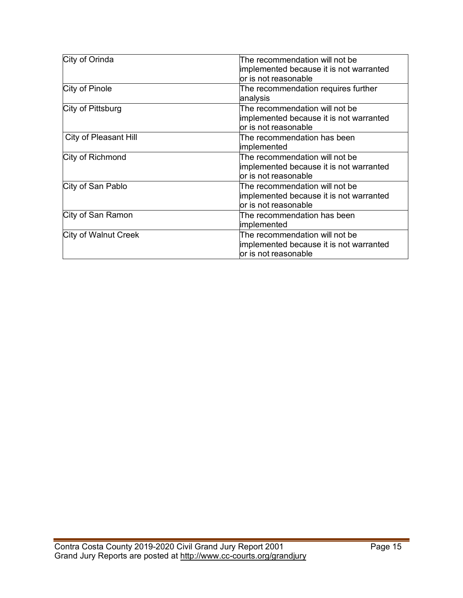| City of Orinda        | The recommendation will not be                                                                    |
|-----------------------|---------------------------------------------------------------------------------------------------|
|                       | implemented because it is not warranted                                                           |
|                       | or is not reasonable                                                                              |
| City of Pinole        | The recommendation requires further<br>analysis                                                   |
| City of Pittsburg     | The recommendation will not be                                                                    |
|                       | implemented because it is not warranted<br>lor is not reasonable                                  |
| City of Pleasant Hill | The recommendation has been<br>limplemented                                                       |
| City of Richmond      | The recommendation will not be<br>implemented because it is not warranted<br>or is not reasonable |
| City of San Pablo     | The recommendation will not be<br>implemented because it is not warranted<br>or is not reasonable |
| City of San Ramon     | The recommendation has been<br>implemented                                                        |
| City of Walnut Creek  | The recommendation will not be<br>implemented because it is not warranted<br>or is not reasonable |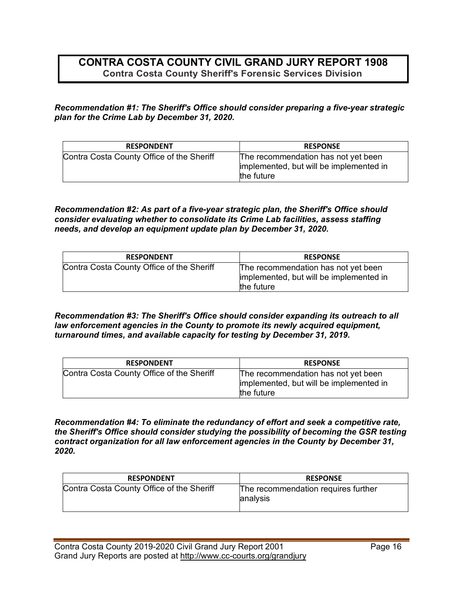## **CONTRA COSTA COUNTY CIVIL GRAND JURY REPORT 1908 Contra Costa County Sheriff's Forensic Services Division**

*Recommendation #1: The Sheriff's Office should consider preparing a five-year strategic plan for the Crime Lab by December 31, 2020.*

| <b>RESPONDENT</b>                         | <b>RESPONSE</b>                                                                               |
|-------------------------------------------|-----------------------------------------------------------------------------------------------|
| Contra Costa County Office of the Sheriff | The recommendation has not yet been<br>limplemented, but will be implemented in<br>the future |

*Recommendation #2: As part of a five-year strategic plan, the Sheriff's Office should consider evaluating whether to consolidate its Crime Lab facilities, assess staffing needs, and develop an equipment update plan by December 31, 2020.*

| <b>RESPONDENT</b>                         | <b>RESPONSE</b>                                                                              |
|-------------------------------------------|----------------------------------------------------------------------------------------------|
| Contra Costa County Office of the Sheriff | The recommendation has not yet been<br>implemented, but will be implemented in<br>the future |

*Recommendation #3: The Sheriff's Office should consider expanding its outreach to all law enforcement agencies in the County to promote its newly acquired equipment, turnaround times, and available capacity for testing by December 31, 2019.*

| <b>RESPONDENT</b>                         | <b>RESPONSE</b>                                                                              |
|-------------------------------------------|----------------------------------------------------------------------------------------------|
| Contra Costa County Office of the Sheriff | The recommendation has not yet been<br>implemented, but will be implemented in<br>the future |

*Recommendation #4: To eliminate the redundancy of effort and seek a competitive rate, the Sheriff's Office should consider studying the possibility of becoming the GSR testing contract organization for all law enforcement agencies in the County by December 31, 2020.*

| <b>RESPONDENT</b>                         | <b>RESPONSE</b>                                 |
|-------------------------------------------|-------------------------------------------------|
| Contra Costa County Office of the Sheriff | The recommendation requires further<br>analysis |